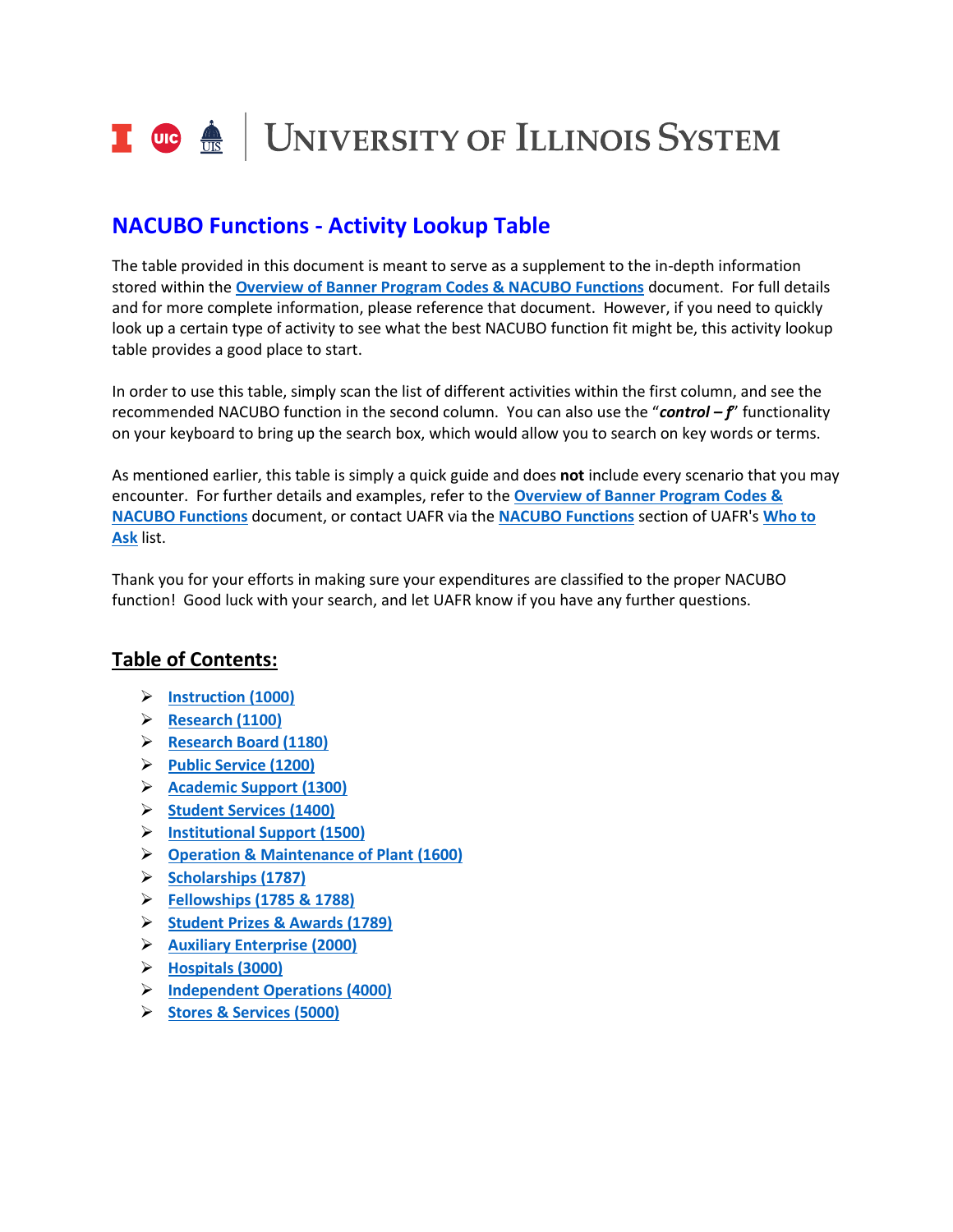<span id="page-0-0"></span>

## **NACUBO Functions - Activity Lookup Table**

The table provided in this document is meant to serve as a supplement to the in-depth information stored within the **[Overview of Banner Program Codes & NACUBO Functions](https://www.obfs.uillinois.edu/common/pages/DisplayFile.aspx?itemId=96151)** document. For full details and for more complete information, please reference that document. However, if you need to quickly look up a certain type of activity to see what the best NACUBO function fit might be, this activity lookup table provides a good place to start.

In order to use this table, simply scan the list of different activities within the first column, and see the recommended NACUBO function in the second column. You can also use the "*control – f*" functionality on your keyboard to bring up the search box, which would allow you to search on key words or terms.

As mentioned earlier, this table is simply a quick guide and does **not** include every scenario that you may encounter. For further details and examples, refer to the **[Overview of Banner Program Codes &](https://www.obfs.uillinois.edu/common/pages/DisplayFile.aspx?itemId=96151)  [NACUBO Functions](https://www.obfs.uillinois.edu/common/pages/DisplayFile.aspx?itemId=96151)** document, or contact UAFR via the **[NACUBO Functions](https://www.obfs.uillinois.edu/accounting-financial-reporting/who-to-ask/types-questions/#nacubo)** section of UAFR's **[Who to](https://www.obfs.uillinois.edu/accounting-financial-reporting/who-to-ask/)  [Ask](https://www.obfs.uillinois.edu/accounting-financial-reporting/who-to-ask/)** list.

Thank you for your efforts in making sure your expenditures are classified to the proper NACUBO function! Good luck with your search, and let UAFR know if you have any further questions.

## **Table of Contents:**

- **[Instruction \(1000\)](#page-1-0)**
- **[Research \(1100\)](#page-2-0)**
- **[Research Board \(1180\)](#page-2-1)**
- **[Public Service \(1200\)](#page-2-2)**
- **[Academic Support \(1300\)](#page-3-0)**
- **[Student Services \(1400\)](#page-4-0)**
- **[Institutional Support](#page-5-0) (1500)**
- **[Operation & Maintenance of Plant](#page-5-1) (1600)**
- **[Scholarships](#page-6-0) (1787)**
- **Fellowships [\(1785 & 1788\)](#page-6-1)**
- **[Student Prizes & Awards](#page-7-0) (1789)**
- **[Auxiliary Enterprise](#page-7-1) (2000)**
- **[Hospitals \(3000\)](#page-7-2)**
- **[Independent Operations](#page-7-3) (4000)**
- **[Stores & Services](#page-7-4) (5000)**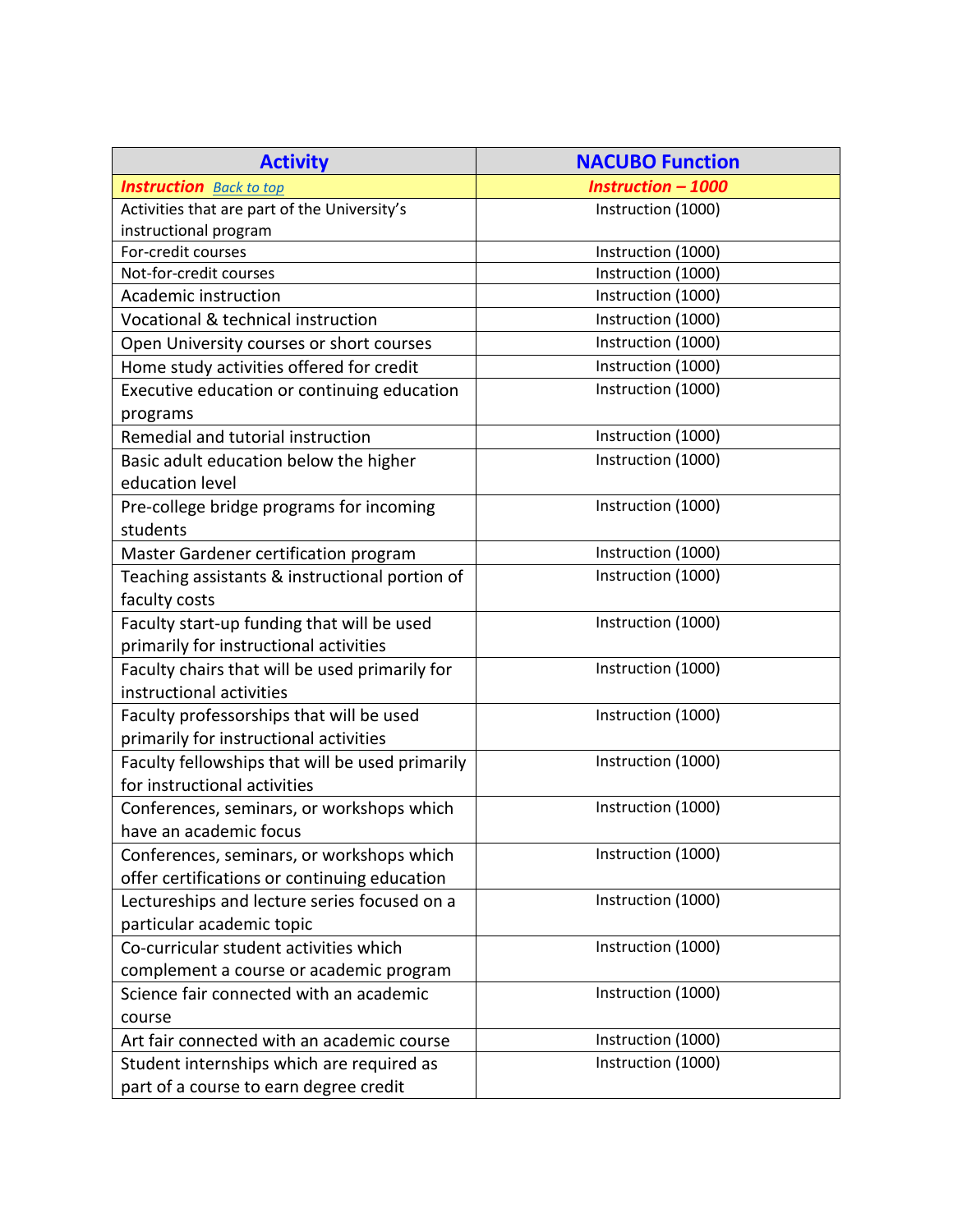<span id="page-1-0"></span>

| <b>Activity</b>                                                                                                                                                                                                                                                                                                                                                                                                                                                                                                                                                                                                                             | <b>NACUBO Function</b>                                                                                     |
|---------------------------------------------------------------------------------------------------------------------------------------------------------------------------------------------------------------------------------------------------------------------------------------------------------------------------------------------------------------------------------------------------------------------------------------------------------------------------------------------------------------------------------------------------------------------------------------------------------------------------------------------|------------------------------------------------------------------------------------------------------------|
| <b>Instruction Back to top</b>                                                                                                                                                                                                                                                                                                                                                                                                                                                                                                                                                                                                              | <b>Instruction - 1000</b>                                                                                  |
| Activities that are part of the University's                                                                                                                                                                                                                                                                                                                                                                                                                                                                                                                                                                                                | Instruction (1000)                                                                                         |
| instructional program                                                                                                                                                                                                                                                                                                                                                                                                                                                                                                                                                                                                                       |                                                                                                            |
| For-credit courses                                                                                                                                                                                                                                                                                                                                                                                                                                                                                                                                                                                                                          | Instruction (1000)                                                                                         |
| Not-for-credit courses                                                                                                                                                                                                                                                                                                                                                                                                                                                                                                                                                                                                                      | Instruction (1000)                                                                                         |
| Academic instruction                                                                                                                                                                                                                                                                                                                                                                                                                                                                                                                                                                                                                        | Instruction (1000)                                                                                         |
| Vocational & technical instruction                                                                                                                                                                                                                                                                                                                                                                                                                                                                                                                                                                                                          | Instruction (1000)                                                                                         |
| Open University courses or short courses                                                                                                                                                                                                                                                                                                                                                                                                                                                                                                                                                                                                    | Instruction (1000)                                                                                         |
| Home study activities offered for credit                                                                                                                                                                                                                                                                                                                                                                                                                                                                                                                                                                                                    | Instruction (1000)                                                                                         |
| Executive education or continuing education                                                                                                                                                                                                                                                                                                                                                                                                                                                                                                                                                                                                 | Instruction (1000)                                                                                         |
| programs                                                                                                                                                                                                                                                                                                                                                                                                                                                                                                                                                                                                                                    |                                                                                                            |
| Remedial and tutorial instruction                                                                                                                                                                                                                                                                                                                                                                                                                                                                                                                                                                                                           | Instruction (1000)                                                                                         |
| Basic adult education below the higher                                                                                                                                                                                                                                                                                                                                                                                                                                                                                                                                                                                                      | Instruction (1000)                                                                                         |
| education level                                                                                                                                                                                                                                                                                                                                                                                                                                                                                                                                                                                                                             |                                                                                                            |
| Pre-college bridge programs for incoming                                                                                                                                                                                                                                                                                                                                                                                                                                                                                                                                                                                                    | Instruction (1000)                                                                                         |
| students                                                                                                                                                                                                                                                                                                                                                                                                                                                                                                                                                                                                                                    |                                                                                                            |
| Master Gardener certification program                                                                                                                                                                                                                                                                                                                                                                                                                                                                                                                                                                                                       | Instruction (1000)                                                                                         |
| Teaching assistants & instructional portion of                                                                                                                                                                                                                                                                                                                                                                                                                                                                                                                                                                                              | Instruction (1000)                                                                                         |
| faculty costs                                                                                                                                                                                                                                                                                                                                                                                                                                                                                                                                                                                                                               |                                                                                                            |
| Faculty start-up funding that will be used                                                                                                                                                                                                                                                                                                                                                                                                                                                                                                                                                                                                  | Instruction (1000)                                                                                         |
| primarily for instructional activities                                                                                                                                                                                                                                                                                                                                                                                                                                                                                                                                                                                                      |                                                                                                            |
| Faculty chairs that will be used primarily for                                                                                                                                                                                                                                                                                                                                                                                                                                                                                                                                                                                              | Instruction (1000)                                                                                         |
| instructional activities                                                                                                                                                                                                                                                                                                                                                                                                                                                                                                                                                                                                                    |                                                                                                            |
|                                                                                                                                                                                                                                                                                                                                                                                                                                                                                                                                                                                                                                             | Instruction (1000)                                                                                         |
|                                                                                                                                                                                                                                                                                                                                                                                                                                                                                                                                                                                                                                             |                                                                                                            |
|                                                                                                                                                                                                                                                                                                                                                                                                                                                                                                                                                                                                                                             | Instruction (1000)                                                                                         |
| for instructional activities                                                                                                                                                                                                                                                                                                                                                                                                                                                                                                                                                                                                                |                                                                                                            |
|                                                                                                                                                                                                                                                                                                                                                                                                                                                                                                                                                                                                                                             | Instruction (1000)                                                                                         |
| have an academic focus                                                                                                                                                                                                                                                                                                                                                                                                                                                                                                                                                                                                                      |                                                                                                            |
|                                                                                                                                                                                                                                                                                                                                                                                                                                                                                                                                                                                                                                             | Instruction (1000)                                                                                         |
|                                                                                                                                                                                                                                                                                                                                                                                                                                                                                                                                                                                                                                             |                                                                                                            |
|                                                                                                                                                                                                                                                                                                                                                                                                                                                                                                                                                                                                                                             |                                                                                                            |
|                                                                                                                                                                                                                                                                                                                                                                                                                                                                                                                                                                                                                                             |                                                                                                            |
|                                                                                                                                                                                                                                                                                                                                                                                                                                                                                                                                                                                                                                             |                                                                                                            |
|                                                                                                                                                                                                                                                                                                                                                                                                                                                                                                                                                                                                                                             |                                                                                                            |
|                                                                                                                                                                                                                                                                                                                                                                                                                                                                                                                                                                                                                                             |                                                                                                            |
|                                                                                                                                                                                                                                                                                                                                                                                                                                                                                                                                                                                                                                             |                                                                                                            |
|                                                                                                                                                                                                                                                                                                                                                                                                                                                                                                                                                                                                                                             |                                                                                                            |
|                                                                                                                                                                                                                                                                                                                                                                                                                                                                                                                                                                                                                                             |                                                                                                            |
|                                                                                                                                                                                                                                                                                                                                                                                                                                                                                                                                                                                                                                             |                                                                                                            |
| Faculty professorships that will be used<br>primarily for instructional activities<br>Faculty fellowships that will be used primarily<br>Conferences, seminars, or workshops which<br>Conferences, seminars, or workshops which<br>offer certifications or continuing education<br>Lectureships and lecture series focused on a<br>particular academic topic<br>Co-curricular student activities which<br>complement a course or academic program<br>Science fair connected with an academic<br>course<br>Art fair connected with an academic course<br>Student internships which are required as<br>part of a course to earn degree credit | Instruction (1000)<br>Instruction (1000)<br>Instruction (1000)<br>Instruction (1000)<br>Instruction (1000) |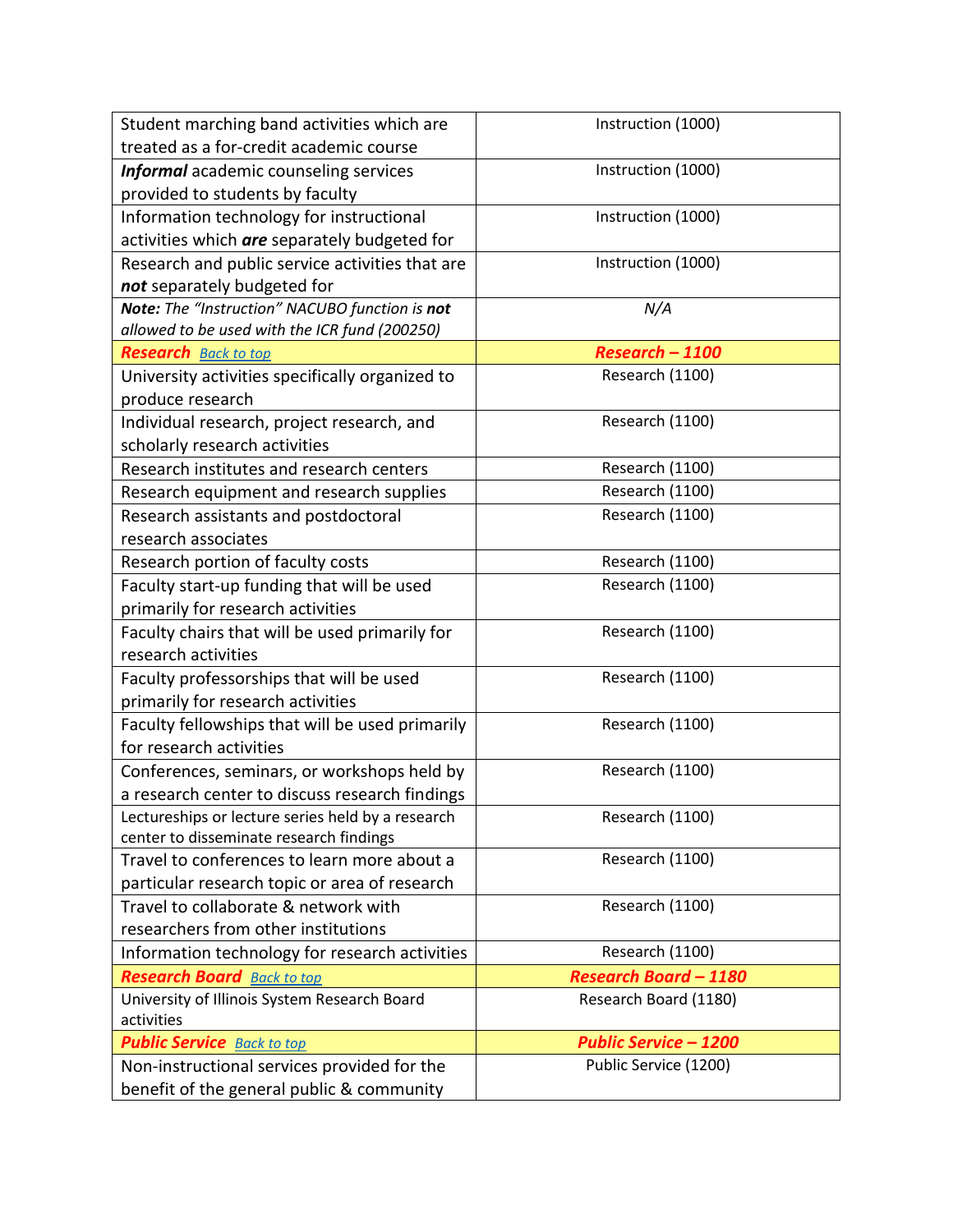<span id="page-2-2"></span><span id="page-2-1"></span><span id="page-2-0"></span>

| Student marching band activities which are        | Instruction (1000)           |
|---------------------------------------------------|------------------------------|
| treated as a for-credit academic course           |                              |
| <b>Informal</b> academic counseling services      | Instruction (1000)           |
| provided to students by faculty                   |                              |
| Information technology for instructional          | Instruction (1000)           |
| activities which are separately budgeted for      |                              |
| Research and public service activities that are   | Instruction (1000)           |
| not separately budgeted for                       |                              |
| Note: The "Instruction" NACUBO function is not    | N/A                          |
| allowed to be used with the ICR fund (200250)     |                              |
| <b>Research</b> Back to top                       | Research - 1100              |
| University activities specifically organized to   | Research (1100)              |
| produce research                                  |                              |
| Individual research, project research, and        | Research (1100)              |
| scholarly research activities                     |                              |
| Research institutes and research centers          | Research (1100)              |
| Research equipment and research supplies          | Research (1100)              |
| Research assistants and postdoctoral              | Research (1100)              |
| research associates                               |                              |
| Research portion of faculty costs                 | Research (1100)              |
| Faculty start-up funding that will be used        | Research (1100)              |
| primarily for research activities                 |                              |
| Faculty chairs that will be used primarily for    | Research (1100)              |
| research activities                               |                              |
| Faculty professorships that will be used          | Research (1100)              |
| primarily for research activities                 |                              |
| Faculty fellowships that will be used primarily   | Research (1100)              |
| for research activities                           |                              |
| Conferences, seminars, or workshops held by       | Research (1100)              |
| a research center to discuss research findings    |                              |
| Lectureships or lecture series held by a research | Research (1100)              |
| center to disseminate research findings           |                              |
| Travel to conferences to learn more about a       | Research (1100)              |
| particular research topic or area of research     |                              |
| Travel to collaborate & network with              | Research (1100)              |
| researchers from other institutions               |                              |
| Information technology for research activities    | Research (1100)              |
| <b>Research Board</b> Back to top                 | <b>Research Board - 1180</b> |
| University of Illinois System Research Board      | Research Board (1180)        |
| activities                                        |                              |
| <b>Public Service Back to top</b>                 | <b>Public Service - 1200</b> |
| Non-instructional services provided for the       | Public Service (1200)        |
| benefit of the general public & community         |                              |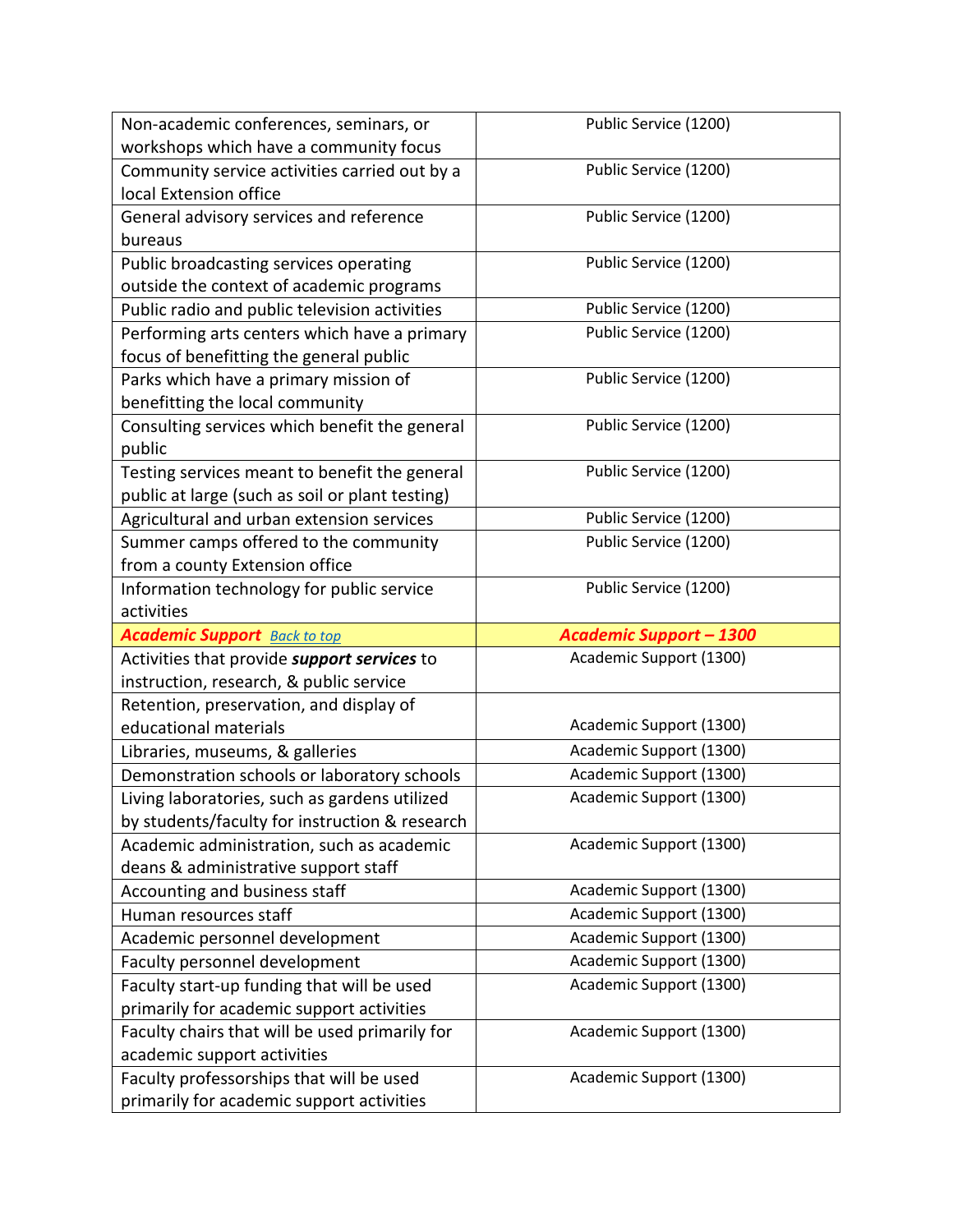<span id="page-3-0"></span>

| Non-academic conferences, seminars, or          | Public Service (1200)          |
|-------------------------------------------------|--------------------------------|
| workshops which have a community focus          |                                |
| Community service activities carried out by a   | Public Service (1200)          |
| local Extension office                          |                                |
| General advisory services and reference         | Public Service (1200)          |
| bureaus                                         |                                |
| Public broadcasting services operating          | Public Service (1200)          |
| outside the context of academic programs        |                                |
| Public radio and public television activities   | Public Service (1200)          |
| Performing arts centers which have a primary    | Public Service (1200)          |
| focus of benefitting the general public         |                                |
| Parks which have a primary mission of           | Public Service (1200)          |
| benefitting the local community                 |                                |
| Consulting services which benefit the general   | Public Service (1200)          |
| public                                          |                                |
| Testing services meant to benefit the general   | Public Service (1200)          |
| public at large (such as soil or plant testing) |                                |
| Agricultural and urban extension services       | Public Service (1200)          |
| Summer camps offered to the community           | Public Service (1200)          |
| from a county Extension office                  |                                |
| Information technology for public service       | Public Service (1200)          |
| activities                                      |                                |
|                                                 |                                |
| <b>Academic Support</b> Back to top             | <b>Academic Support - 1300</b> |
| Activities that provide support services to     | Academic Support (1300)        |
| instruction, research, & public service         |                                |
| Retention, preservation, and display of         |                                |
| educational materials                           | Academic Support (1300)        |
| Libraries, museums, & galleries                 | Academic Support (1300)        |
| Demonstration schools or laboratory schools     | Academic Support (1300)        |
| Living laboratories, such as gardens utilized   | Academic Support (1300)        |
| by students/faculty for instruction & research  |                                |
| Academic administration, such as academic       | Academic Support (1300)        |
| deans & administrative support staff            |                                |
| Accounting and business staff                   | Academic Support (1300)        |
| Human resources staff                           | Academic Support (1300)        |
| Academic personnel development                  | Academic Support (1300)        |
| Faculty personnel development                   | Academic Support (1300)        |
| Faculty start-up funding that will be used      | Academic Support (1300)        |
| primarily for academic support activities       |                                |
| Faculty chairs that will be used primarily for  | Academic Support (1300)        |
| academic support activities                     |                                |
| Faculty professorships that will be used        | Academic Support (1300)        |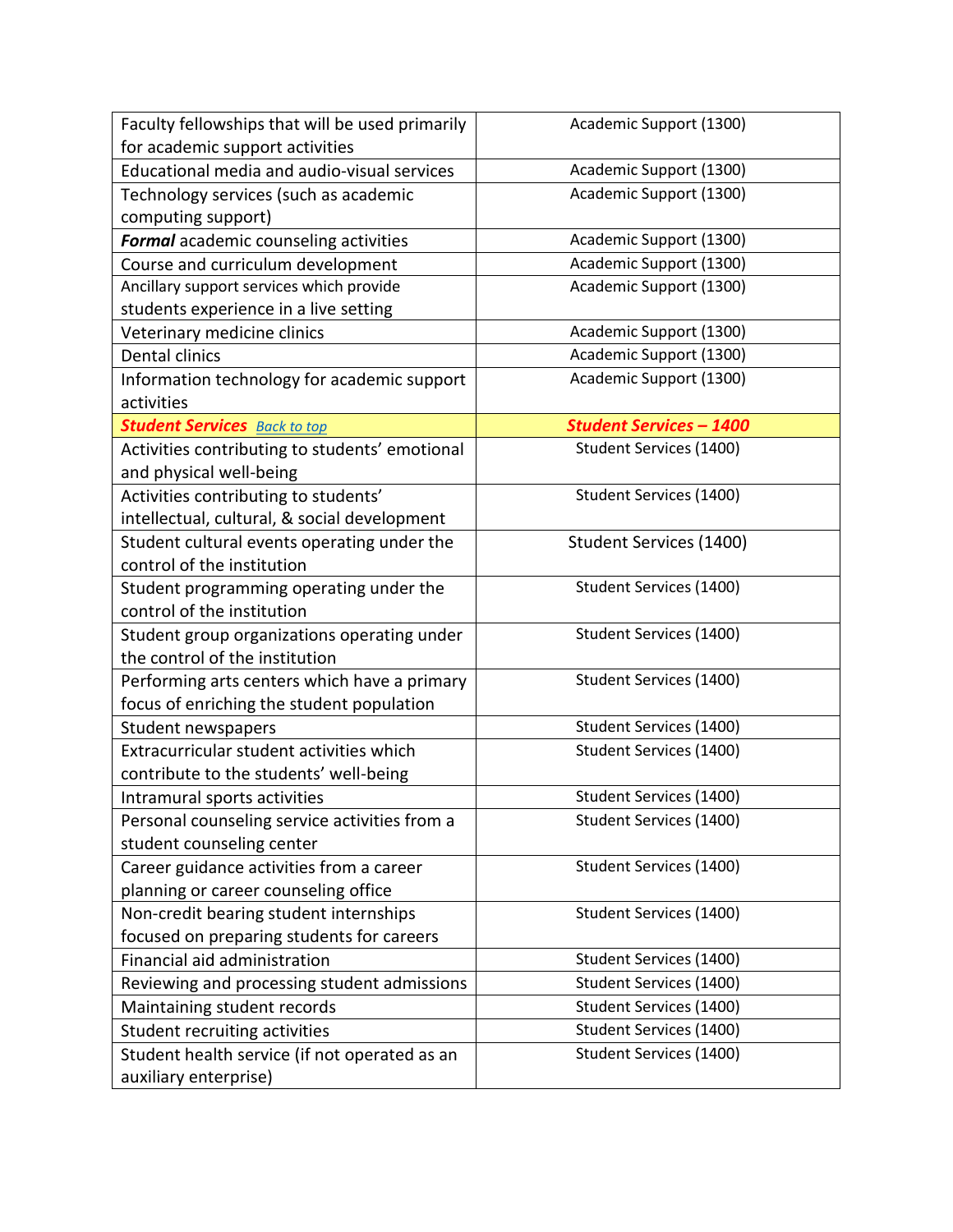<span id="page-4-0"></span>

| Faculty fellowships that will be used primarily | Academic Support (1300)        |
|-------------------------------------------------|--------------------------------|
| for academic support activities                 |                                |
| Educational media and audio-visual services     | Academic Support (1300)        |
| Technology services (such as academic           | Academic Support (1300)        |
| computing support)                              |                                |
| <b>Formal</b> academic counseling activities    | Academic Support (1300)        |
| Course and curriculum development               | Academic Support (1300)        |
| Ancillary support services which provide        | Academic Support (1300)        |
| students experience in a live setting           |                                |
| Veterinary medicine clinics                     | Academic Support (1300)        |
| <b>Dental clinics</b>                           | Academic Support (1300)        |
| Information technology for academic support     | Academic Support (1300)        |
| activities                                      |                                |
| <b>Student Services</b> Back to top             | <b>Student Services - 1400</b> |
| Activities contributing to students' emotional  | Student Services (1400)        |
| and physical well-being                         |                                |
| Activities contributing to students'            | Student Services (1400)        |
| intellectual, cultural, & social development    |                                |
| Student cultural events operating under the     | Student Services (1400)        |
| control of the institution                      |                                |
| Student programming operating under the         | Student Services (1400)        |
| control of the institution                      |                                |
| Student group organizations operating under     | Student Services (1400)        |
| the control of the institution                  |                                |
| Performing arts centers which have a primary    | Student Services (1400)        |
| focus of enriching the student population       |                                |
| Student newspapers                              | Student Services (1400)        |
| Extracurricular student activities which        | Student Services (1400)        |
| contribute to the students' well-being          |                                |
| Intramural sports activities                    | Student Services (1400)        |
| Personal counseling service activities from a   | Student Services (1400)        |
| student counseling center                       |                                |
| Career guidance activities from a career        | Student Services (1400)        |
| planning or career counseling office            |                                |
| Non-credit bearing student internships          | Student Services (1400)        |
| focused on preparing students for careers       |                                |
| Financial aid administration                    | Student Services (1400)        |
| Reviewing and processing student admissions     | Student Services (1400)        |
| Maintaining student records                     | Student Services (1400)        |
| Student recruiting activities                   | Student Services (1400)        |
| Student health service (if not operated as an   | Student Services (1400)        |
| auxiliary enterprise)                           |                                |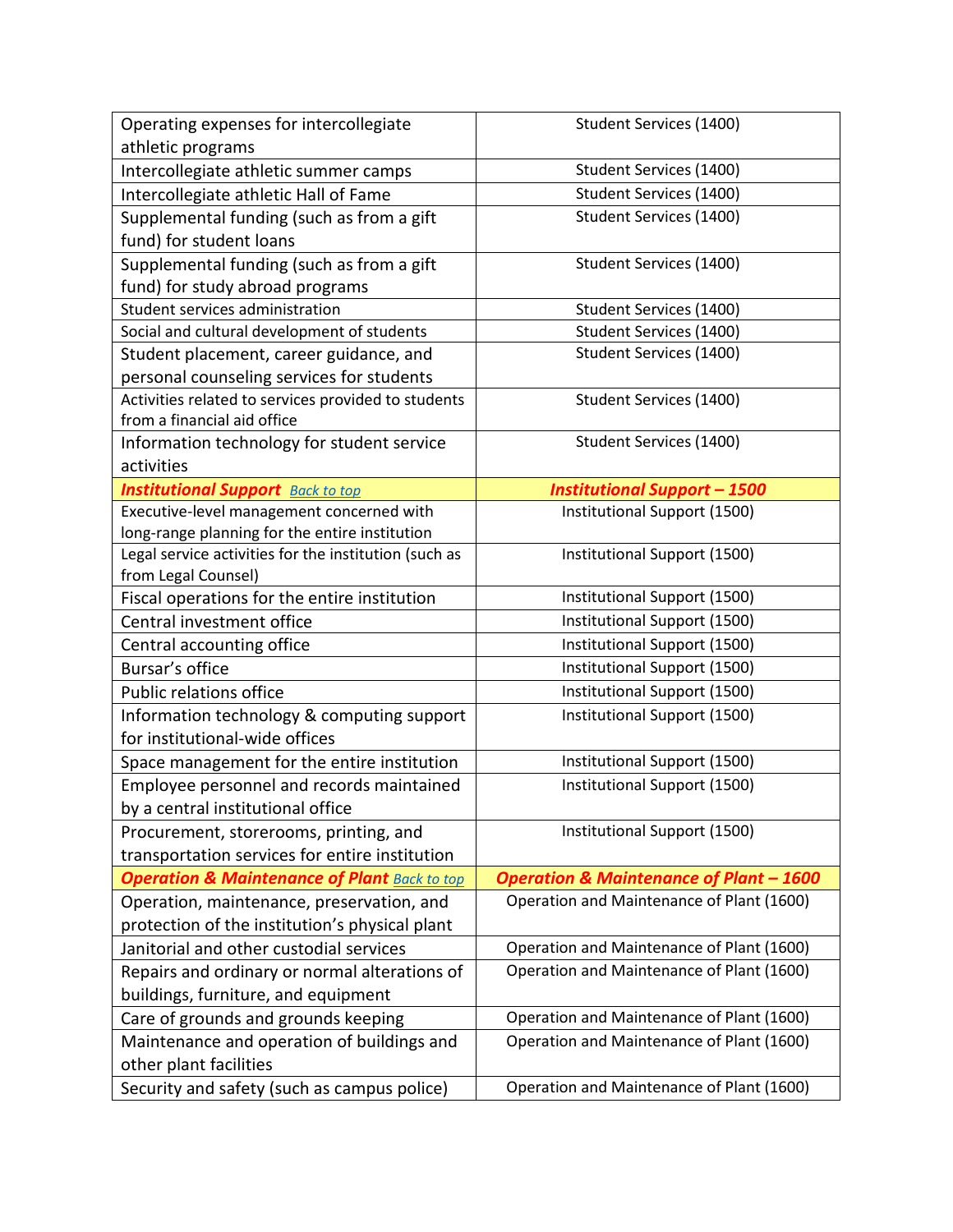<span id="page-5-1"></span><span id="page-5-0"></span>

| Operating expenses for intercollegiate                  | Student Services (1400)                            |
|---------------------------------------------------------|----------------------------------------------------|
| athletic programs                                       |                                                    |
| Intercollegiate athletic summer camps                   | Student Services (1400)                            |
| Intercollegiate athletic Hall of Fame                   | Student Services (1400)                            |
| Supplemental funding (such as from a gift               | Student Services (1400)                            |
| fund) for student loans                                 |                                                    |
| Supplemental funding (such as from a gift               | Student Services (1400)                            |
| fund) for study abroad programs                         |                                                    |
| Student services administration                         | Student Services (1400)                            |
| Social and cultural development of students             | Student Services (1400)                            |
| Student placement, career guidance, and                 | Student Services (1400)                            |
| personal counseling services for students               |                                                    |
| Activities related to services provided to students     | Student Services (1400)                            |
| from a financial aid office                             |                                                    |
| Information technology for student service              | Student Services (1400)                            |
| activities                                              |                                                    |
| <b>Institutional Support</b> Back to top                | <b>Institutional Support - 1500</b>                |
| Executive-level management concerned with               | Institutional Support (1500)                       |
| long-range planning for the entire institution          |                                                    |
| Legal service activities for the institution (such as   | Institutional Support (1500)                       |
| from Legal Counsel)                                     |                                                    |
| Fiscal operations for the entire institution            | Institutional Support (1500)                       |
| Central investment office                               | Institutional Support (1500)                       |
| Central accounting office                               | Institutional Support (1500)                       |
| Bursar's office                                         | Institutional Support (1500)                       |
| <b>Public relations office</b>                          | Institutional Support (1500)                       |
| Information technology & computing support              | Institutional Support (1500)                       |
| for institutional-wide offices                          |                                                    |
| Space management for the entire institution             | Institutional Support (1500)                       |
| Employee personnel and records maintained               | Institutional Support (1500)                       |
| by a central institutional office                       |                                                    |
| Procurement, storerooms, printing, and                  | Institutional Support (1500)                       |
| transportation services for entire institution          |                                                    |
| <b>Operation &amp; Maintenance of Plant Back to top</b> | <b>Operation &amp; Maintenance of Plant - 1600</b> |
| Operation, maintenance, preservation, and               | Operation and Maintenance of Plant (1600)          |
| protection of the institution's physical plant          |                                                    |
| Janitorial and other custodial services                 | Operation and Maintenance of Plant (1600)          |
| Repairs and ordinary or normal alterations of           | Operation and Maintenance of Plant (1600)          |
| buildings, furniture, and equipment                     |                                                    |
| Care of grounds and grounds keeping                     | Operation and Maintenance of Plant (1600)          |
| Maintenance and operation of buildings and              | Operation and Maintenance of Plant (1600)          |
| other plant facilities                                  |                                                    |
| Security and safety (such as campus police)             | Operation and Maintenance of Plant (1600)          |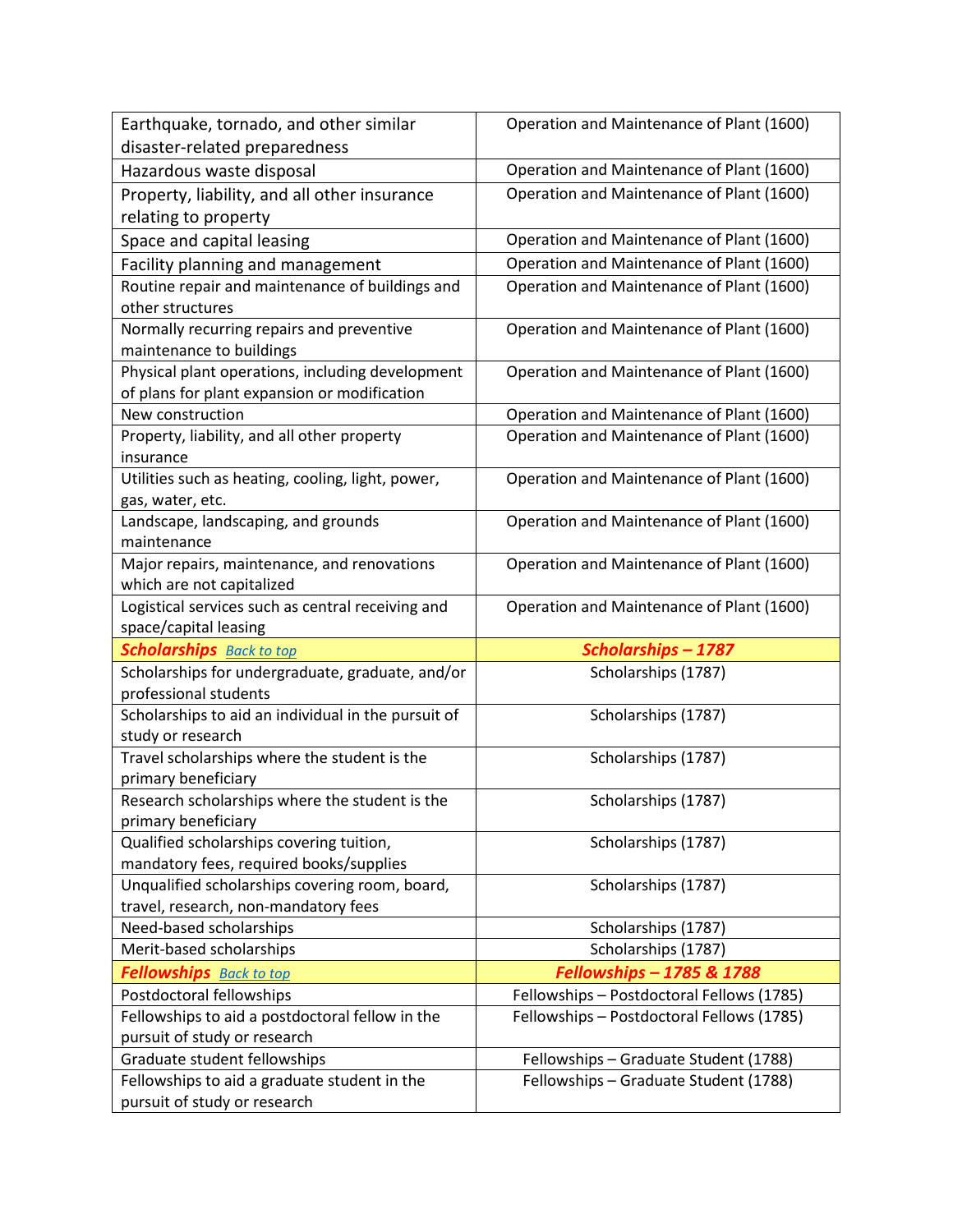<span id="page-6-1"></span><span id="page-6-0"></span>

| Earthquake, tornado, and other similar                                              | Operation and Maintenance of Plant (1600) |
|-------------------------------------------------------------------------------------|-------------------------------------------|
| disaster-related preparedness                                                       |                                           |
| Hazardous waste disposal                                                            | Operation and Maintenance of Plant (1600) |
| Property, liability, and all other insurance                                        | Operation and Maintenance of Plant (1600) |
| relating to property                                                                |                                           |
| Space and capital leasing                                                           | Operation and Maintenance of Plant (1600) |
| Facility planning and management                                                    | Operation and Maintenance of Plant (1600) |
| Routine repair and maintenance of buildings and                                     | Operation and Maintenance of Plant (1600) |
| other structures                                                                    |                                           |
| Normally recurring repairs and preventive                                           | Operation and Maintenance of Plant (1600) |
| maintenance to buildings                                                            |                                           |
| Physical plant operations, including development                                    | Operation and Maintenance of Plant (1600) |
| of plans for plant expansion or modification                                        |                                           |
| New construction                                                                    | Operation and Maintenance of Plant (1600) |
| Property, liability, and all other property                                         | Operation and Maintenance of Plant (1600) |
| insurance                                                                           |                                           |
| Utilities such as heating, cooling, light, power,                                   | Operation and Maintenance of Plant (1600) |
| gas, water, etc.<br>Landscape, landscaping, and grounds                             | Operation and Maintenance of Plant (1600) |
| maintenance                                                                         |                                           |
| Major repairs, maintenance, and renovations                                         | Operation and Maintenance of Plant (1600) |
| which are not capitalized                                                           |                                           |
| Logistical services such as central receiving and                                   | Operation and Maintenance of Plant (1600) |
| space/capital leasing                                                               |                                           |
| <b>Scholarships Back to top</b>                                                     | Scholarships-1787                         |
| Scholarships for undergraduate, graduate, and/or                                    | Scholarships (1787)                       |
| professional students                                                               |                                           |
| Scholarships to aid an individual in the pursuit of                                 | Scholarships (1787)                       |
| study or research                                                                   |                                           |
| Travel scholarships where the student is the                                        | Scholarships (1787)                       |
| primary beneficiary                                                                 |                                           |
| Research scholarships where the student is the                                      | Scholarships (1787)                       |
| primary beneficiary                                                                 |                                           |
| Qualified scholarships covering tuition,<br>mandatory fees, required books/supplies | Scholarships (1787)                       |
| Unqualified scholarships covering room, board,                                      | Scholarships (1787)                       |
| travel, research, non-mandatory fees                                                |                                           |
| Need-based scholarships                                                             |                                           |
|                                                                                     |                                           |
|                                                                                     | Scholarships (1787)                       |
| Merit-based scholarships                                                            | Scholarships (1787)                       |
| <b>Fellowships Back to top</b>                                                      | Fellowships - 1785 & 1788                 |
| Postdoctoral fellowships                                                            | Fellowships - Postdoctoral Fellows (1785) |
| Fellowships to aid a postdoctoral fellow in the<br>pursuit of study or research     | Fellowships - Postdoctoral Fellows (1785) |
| Graduate student fellowships                                                        | Fellowships - Graduate Student (1788)     |
| Fellowships to aid a graduate student in the                                        | Fellowships - Graduate Student (1788)     |